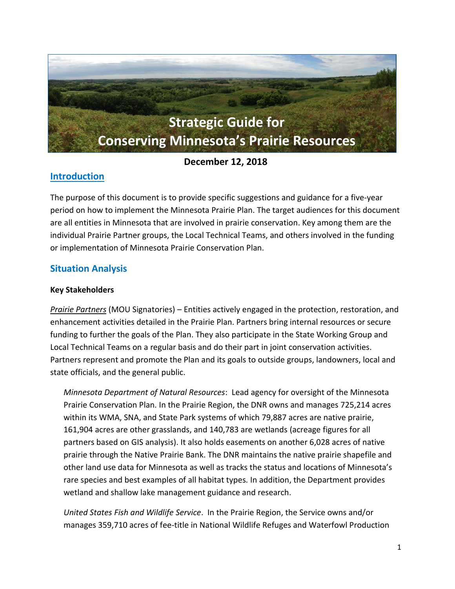

**December 12, 2018**

# **Introduction**

The purpose of this document is to provide specific suggestions and guidance for a five-year period on how to implement the Minnesota Prairie Plan. The target audiences for this document are all entities in Minnesota that are involved in prairie conservation. Key among them are the individual Prairie Partner groups, the Local Technical Teams, and others involved in the funding or implementation of Minnesota Prairie Conservation Plan.

# **Situation Analysis**

# **Key Stakeholders**

*Prairie Partners* (MOU Signatories) – Entities actively engaged in the protection, restoration, and enhancement activities detailed in the Prairie Plan. Partners bring internal resources or secure funding to further the goals of the Plan. They also participate in the State Working Group and Local Technical Teams on a regular basis and do their part in joint conservation activities. Partners represent and promote the Plan and its goals to outside groups, landowners, local and state officials, and the general public.

*Minnesota Department of Natural Resources*: Lead agency for oversight of the Minnesota Prairie Conservation Plan. In the Prairie Region, the DNR owns and manages 725,214 acres within its WMA, SNA, and State Park systems of which 79,887 acres are native prairie, 161,904 acres are other grasslands, and 140,783 are wetlands (acreage figures for all partners based on GIS analysis). It also holds easements on another 6,028 acres of native prairie through the Native Prairie Bank. The DNR maintains the native prairie shapefile and other land use data for Minnesota as well as tracks the status and locations of Minnesota's rare species and best examples of all habitat types. In addition, the Department provides wetland and shallow lake management guidance and research.

*United States Fish and Wildlife Service*. In the Prairie Region, the Service owns and/or manages 359,710 acres of fee-title in National Wildlife Refuges and Waterfowl Production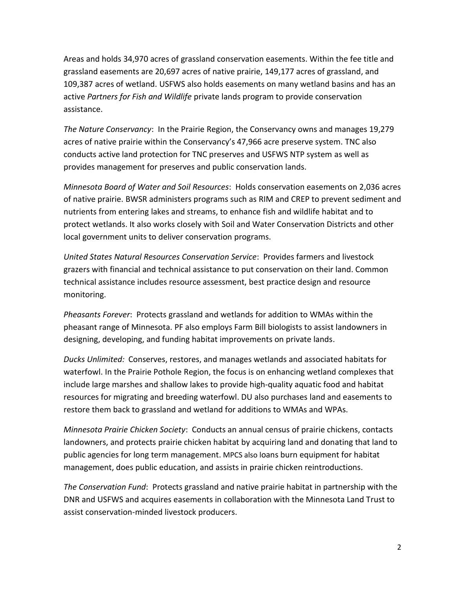Areas and holds 34,970 acres of grassland conservation easements. Within the fee title and grassland easements are 20,697 acres of native prairie, 149,177 acres of grassland, and 109,387 acres of wetland. USFWS also holds easements on many wetland basins and has an active *Partners for Fish and Wildlife* private lands program to provide conservation assistance.

*The Nature Conservancy*: In the Prairie Region, the Conservancy owns and manages 19,279 acres of native prairie within the Conservancy's 47,966 acre preserve system. TNC also conducts active land protection for TNC preserves and USFWS NTP system as well as provides management for preserves and public conservation lands.

*Minnesota Board of Water and Soil Resources*: Holds conservation easements on 2,036 acres of native prairie. BWSR administers programs such as RIM and CREP to prevent sediment and nutrients from entering lakes and streams, to enhance fish and wildlife habitat and to protect wetlands. It also works closely with Soil and Water Conservation Districts and other local government units to deliver conservation programs.

*United States Natural Resources Conservation Service*: Provides farmers and livestock grazers with financial and technical assistance to put conservation on their land. Common technical assistance includes resource assessment, best practice design and resource monitoring.

*Pheasants Forever*: Protects grassland and wetlands for addition to WMAs within the pheasant range of Minnesota. PF also employs Farm Bill biologists to assist landowners in designing, developing, and funding habitat improvements on private lands.

*Ducks Unlimited:* Conserves, restores, and manages wetlands and associated habitats for waterfowl. In the Prairie Pothole Region, the focus is on enhancing wetland complexes that include large marshes and shallow lakes to provide high-quality aquatic food and habitat resources for migrating and breeding waterfowl. DU also purchases land and easements to restore them back to grassland and wetland for additions to WMAs and WPAs.

*Minnesota Prairie Chicken Society*: Conducts an annual census of prairie chickens, contacts landowners, and protects prairie chicken habitat by acquiring land and donating that land to public agencies for long term management. MPCS also loans burn equipment for habitat management, does public education, and assists in prairie chicken reintroductions.

*The Conservation Fund*: Protects grassland and native prairie habitat in partnership with the DNR and USFWS and acquires easements in collaboration with the Minnesota Land Trust to assist conservation-minded livestock producers.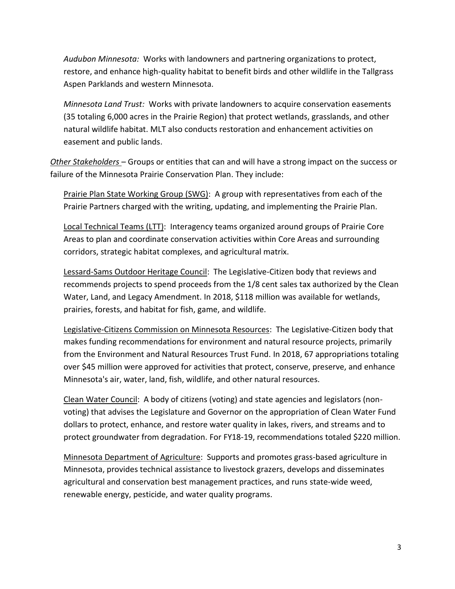*Audubon Minnesota:* Works with landowners and partnering organizations to protect, restore, and enhance high-quality habitat to benefit birds and other wildlife in the Tallgrass Aspen Parklands and western Minnesota.

*Minnesota Land Trust:* Works with private landowners to acquire conservation easements (35 totaling 6,000 acres in the Prairie Region) that protect wetlands, grasslands, and other natural wildlife habitat. MLT also conducts restoration and enhancement activities on easement and public lands.

*Other Stakeholders* – Groups or entities that can and will have a strong impact on the success or failure of the Minnesota Prairie Conservation Plan. They include:

Prairie Plan State Working Group (SWG): A group with representatives from each of the Prairie Partners charged with the writing, updating, and implementing the Prairie Plan.

Local Technical Teams (LTT): Interagency teams organized around groups of Prairie Core Areas to plan and coordinate conservation activities within Core Areas and surrounding corridors, strategic habitat complexes, and agricultural matrix.

Lessard-Sams Outdoor Heritage Council: The Legislative-Citizen body that reviews and recommends projects to spend proceeds from the 1/8 cent sales tax authorized by the Clean Water, Land, and Legacy Amendment. In 2018, \$118 million was available for wetlands, prairies, forests, and habitat for fish, game, and wildlife.

Legislative-Citizens Commission on Minnesota Resources: The Legislative-Citizen body that makes funding recommendations for environment and natural resource projects, primarily from the Environment and Natural Resources Trust Fund. In 2018, 67 appropriations totaling over \$45 million were approved for activities that protect, conserve, preserve, and enhance Minnesota's air, water, land, fish, wildlife, and other natural resources.

Clean Water Council: A body of citizens (voting) and state agencies and legislators (nonvoting) that advises the Legislature and Governor on the appropriation of Clean Water Fund dollars to protect, enhance, and restore water quality in lakes, rivers, and streams and to protect groundwater from degradation. For FY18-19, recommendations totaled \$220 million.

Minnesota Department of Agriculture: Supports and promotes grass-based agriculture in Minnesota, provides technical assistance to livestock grazers, develops and disseminates agricultural and conservation best management practices, and runs state-wide weed, renewable energy, pesticide, and water quality programs.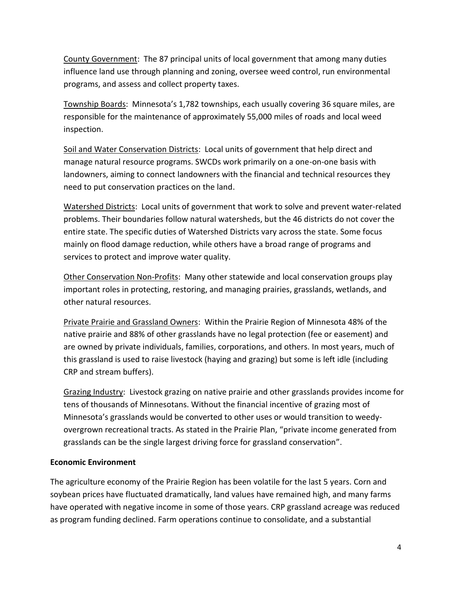County Government: The 87 principal units of local government that among many duties influence land use through planning and zoning, oversee weed control, run environmental programs, and assess and collect property taxes.

Township Boards: Minnesota's 1,782 townships, each usually covering 36 square miles, are responsible for the maintenance of approximately 55,000 miles of roads and local weed inspection.

Soil and Water Conservation Districts: Local units of government that help direct and manage natural resource programs. SWCDs work primarily on a one-on-one basis with landowners, aiming to connect landowners with the financial and technical resources they need to put conservation practices on the land.

Watershed Districts: Local units of government that work to solve and prevent water-related problems. Their boundaries follow natural watersheds, but the 46 districts do not cover the entire state. The specific duties of Watershed Districts vary across the state. Some focus mainly on flood damage reduction, while others have a broad range of programs and services to protect and improve water quality.

Other Conservation Non-Profits: Many other statewide and local conservation groups play important roles in protecting, restoring, and managing prairies, grasslands, wetlands, and other natural resources.

Private Prairie and Grassland Owners: Within the Prairie Region of Minnesota 48% of the native prairie and 88% of other grasslands have no legal protection (fee or easement) and are owned by private individuals, families, corporations, and others. In most years, much of this grassland is used to raise livestock (haying and grazing) but some is left idle (including CRP and stream buffers).

Grazing Industry: Livestock grazing on native prairie and other grasslands provides income for tens of thousands of Minnesotans. Without the financial incentive of grazing most of Minnesota's grasslands would be converted to other uses or would transition to weedyovergrown recreational tracts. As stated in the Prairie Plan, "private income generated from grasslands can be the single largest driving force for grassland conservation".

# **Economic Environment**

The agriculture economy of the Prairie Region has been volatile for the last 5 years. Corn and soybean prices have fluctuated dramatically, land values have remained high, and many farms have operated with negative income in some of those years. CRP grassland acreage was reduced as program funding declined. Farm operations continue to consolidate, and a substantial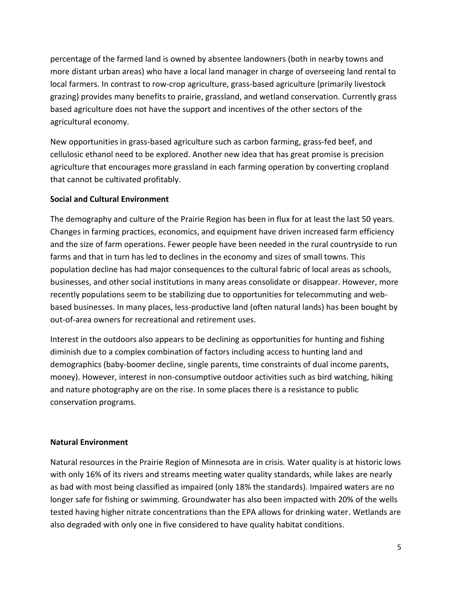percentage of the farmed land is owned by absentee landowners (both in nearby towns and more distant urban areas) who have a local land manager in charge of overseeing land rental to local farmers. In contrast to row-crop agriculture, grass-based agriculture (primarily livestock grazing) provides many benefits to prairie, grassland, and wetland conservation. Currently grass based agriculture does not have the support and incentives of the other sectors of the agricultural economy.

New opportunities in grass-based agriculture such as carbon farming, grass-fed beef, and cellulosic ethanol need to be explored. Another new idea that has great promise is precision agriculture that encourages more grassland in each farming operation by converting cropland that cannot be cultivated profitably.

# **Social and Cultural Environment**

The demography and culture of the Prairie Region has been in flux for at least the last 50 years. Changes in farming practices, economics, and equipment have driven increased farm efficiency and the size of farm operations. Fewer people have been needed in the rural countryside to run farms and that in turn has led to declines in the economy and sizes of small towns. This population decline has had major consequences to the cultural fabric of local areas as schools, businesses, and other social institutions in many areas consolidate or disappear. However, more recently populations seem to be stabilizing due to opportunities for telecommuting and webbased businesses. In many places, less-productive land (often natural lands) has been bought by out-of-area owners for recreational and retirement uses.

Interest in the outdoors also appears to be declining as opportunities for hunting and fishing diminish due to a complex combination of factors including access to hunting land and demographics (baby-boomer decline, single parents, time constraints of dual income parents, money). However, interest in non-consumptive outdoor activities such as bird watching, hiking and nature photography are on the rise. In some places there is a resistance to public conservation programs.

# **Natural Environment**

Natural resources in the Prairie Region of Minnesota are in crisis. Water quality is at historic lows with only 16% of its rivers and streams meeting water quality standards, while lakes are nearly as bad with most being classified as impaired (only 18% the standards). Impaired waters are no longer safe for fishing or swimming. Groundwater has also been impacted with 20% of the wells tested having higher nitrate concentrations than the EPA allows for drinking water. Wetlands are also degraded with only one in five considered to have quality habitat conditions.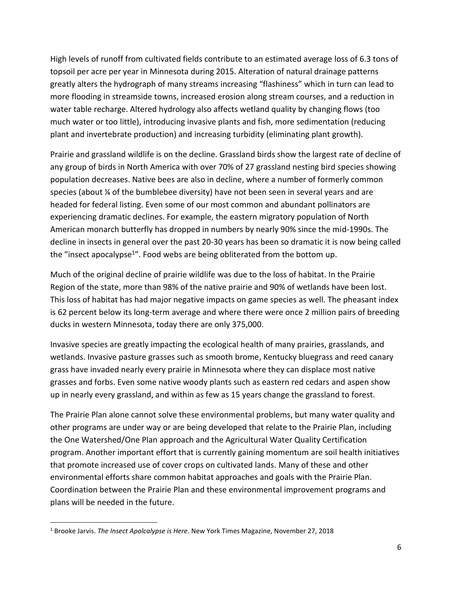High levels of runoff from cultivated fields contribute to an estimated average loss of 6.3 tons of topsoil per acre per year in Minnesota during 2015. Alteration of natural drainage patterns greatly alters the hydrograph of many streams increasing "flashiness" which in turn can lead to more flooding in streamside towns, increased erosion along stream courses, and a reduction in water table recharge. Altered hydrology also affects wetland quality by changing flows (too much water or too little), introducing invasive plants and fish, more sedimentation (reducing plant and invertebrate production) and increasing turbidity (eliminating plant growth).

Prairie and grassland wildlife is on the decline. Grassland birds show the largest rate of decline of any group of birds in North America with over 70% of 27 grassland nesting bird species showing population decreases. Native bees are also in decline, where a number of formerly common species (about ¼ of the bumblebee diversity) have not been seen in several years and are headed for federal listing. Even some of our most common and abundant pollinators are experiencing dramatic declines. For example, the eastern migratory population of North American monarch butterfly has dropped in numbers by nearly 90% since the mid-1990s. The decline in insects in general over the past 20-30 years has been so dramatic it is now being called the "insect apocalypse<sup>1</sup>". Food webs are being obliterated from the bottom up.

Much of the original decline of prairie wildlife was due to the loss of habitat. In the Prairie Region of the state, more than 98% of the native prairie and 90% of wetlands have been lost. This loss of habitat has had major negative impacts on game species as well. The pheasant index is 62 percent below its long-term average and where there were once 2 million pairs of breeding ducks in western Minnesota, today there are only 375,000.

Invasive species are greatly impacting the ecological health of many prairies, grasslands, and wetlands. Invasive pasture grasses such as smooth brome, Kentucky bluegrass and reed canary grass have invaded nearly every prairie in Minnesota where they can displace most native grasses and forbs. Even some native woody plants such as eastern red cedars and aspen show up in nearly every grassland, and within as few as 15 years change the grassland to forest.

The Prairie Plan alone cannot solve these environmental problems, but many water quality and other programs are under way or are being developed that relate to the Prairie Plan, including the One Watershed/One Plan approach and the Agricultural Water Quality Certification program. Another important effort that is currently gaining momentum are soil health initiatives that promote increased use of cover crops on cultivated lands. Many of these and other environmental efforts share common habitat approaches and goals with the Prairie Plan. Coordination between the Prairie Plan and these environmental improvement programs and plans will be needed in the future.

 $\overline{\phantom{a}}$ 

<sup>1</sup> Brooke Jarvis. *The Insect Apolcalypse is Here*. New York Times Magazine, November 27, 2018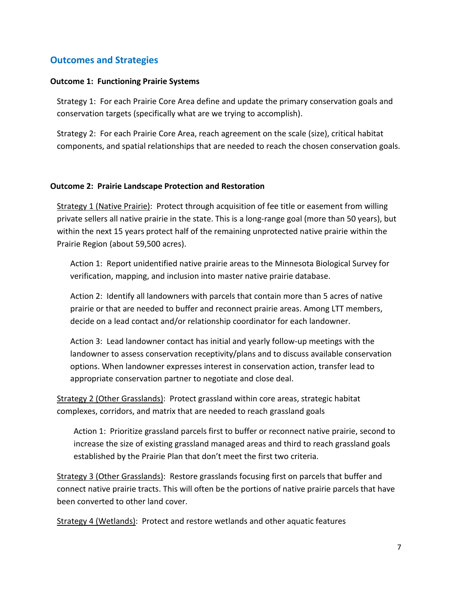# **Outcomes and Strategies**

#### **Outcome 1: Functioning Prairie Systems**

Strategy 1: For each Prairie Core Area define and update the primary conservation goals and conservation targets (specifically what are we trying to accomplish).

Strategy 2: For each Prairie Core Area, reach agreement on the scale (size), critical habitat components, and spatial relationships that are needed to reach the chosen conservation goals.

#### **Outcome 2: Prairie Landscape Protection and Restoration**

Strategy 1 (Native Prairie): Protect through acquisition of fee title or easement from willing private sellers all native prairie in the state. This is a long-range goal (more than 50 years), but within the next 15 years protect half of the remaining unprotected native prairie within the Prairie Region (about 59,500 acres).

Action 1: Report unidentified native prairie areas to the Minnesota Biological Survey for verification, mapping, and inclusion into master native prairie database.

Action 2: Identify all landowners with parcels that contain more than 5 acres of native prairie or that are needed to buffer and reconnect prairie areas. Among LTT members, decide on a lead contact and/or relationship coordinator for each landowner.

Action 3: Lead landowner contact has initial and yearly follow-up meetings with the landowner to assess conservation receptivity/plans and to discuss available conservation options. When landowner expresses interest in conservation action, transfer lead to appropriate conservation partner to negotiate and close deal.

Strategy 2 (Other Grasslands): Protect grassland within core areas, strategic habitat complexes, corridors, and matrix that are needed to reach grassland goals

Action 1: Prioritize grassland parcels first to buffer or reconnect native prairie, second to increase the size of existing grassland managed areas and third to reach grassland goals established by the Prairie Plan that don't meet the first two criteria.

Strategy 3 (Other Grasslands): Restore grasslands focusing first on parcels that buffer and connect native prairie tracts. This will often be the portions of native prairie parcels that have been converted to other land cover.

Strategy 4 (Wetlands): Protect and restore wetlands and other aquatic features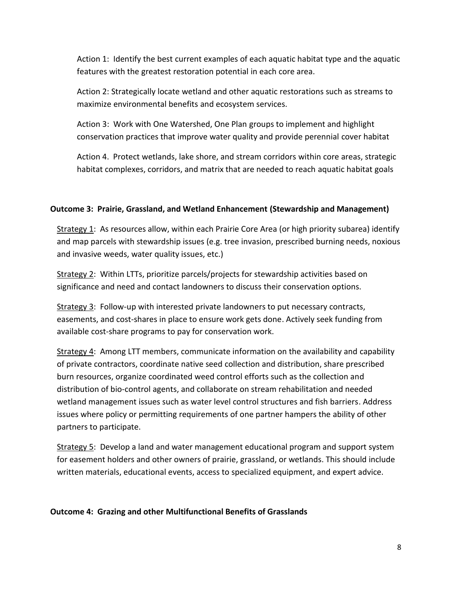Action 1: Identify the best current examples of each aquatic habitat type and the aquatic features with the greatest restoration potential in each core area.

Action 2: Strategically locate wetland and other aquatic restorations such as streams to maximize environmental benefits and ecosystem services.

Action 3: Work with One Watershed, One Plan groups to implement and highlight conservation practices that improve water quality and provide perennial cover habitat

Action 4. Protect wetlands, lake shore, and stream corridors within core areas, strategic habitat complexes, corridors, and matrix that are needed to reach aquatic habitat goals

#### **Outcome 3: Prairie, Grassland, and Wetland Enhancement (Stewardship and Management)**

Strategy 1: As resources allow, within each Prairie Core Area (or high priority subarea) identify and map parcels with stewardship issues (e.g. tree invasion, prescribed burning needs, noxious and invasive weeds, water quality issues, etc.)

Strategy 2: Within LTTs, prioritize parcels/projects for stewardship activities based on significance and need and contact landowners to discuss their conservation options.

Strategy 3: Follow-up with interested private landowners to put necessary contracts, easements, and cost-shares in place to ensure work gets done. Actively seek funding from available cost-share programs to pay for conservation work.

Strategy 4: Among LTT members, communicate information on the availability and capability of private contractors, coordinate native seed collection and distribution, share prescribed burn resources, organize coordinated weed control efforts such as the collection and distribution of bio-control agents, and collaborate on stream rehabilitation and needed wetland management issues such as water level control structures and fish barriers. Address issues where policy or permitting requirements of one partner hampers the ability of other partners to participate.

Strategy 5: Develop a land and water management educational program and support system for easement holders and other owners of prairie, grassland, or wetlands. This should include written materials, educational events, access to specialized equipment, and expert advice.

#### **Outcome 4: Grazing and other Multifunctional Benefits of Grasslands**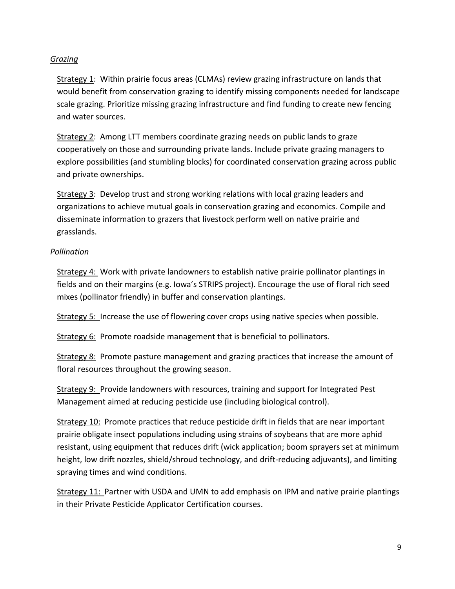# *Grazing*

Strategy 1: Within prairie focus areas (CLMAs) review grazing infrastructure on lands that would benefit from conservation grazing to identify missing components needed for landscape scale grazing. Prioritize missing grazing infrastructure and find funding to create new fencing and water sources.

Strategy 2: Among LTT members coordinate grazing needs on public lands to graze cooperatively on those and surrounding private lands. Include private grazing managers to explore possibilities (and stumbling blocks) for coordinated conservation grazing across public and private ownerships.

Strategy 3: Develop trust and strong working relations with local grazing leaders and organizations to achieve mutual goals in conservation grazing and economics. Compile and disseminate information to grazers that livestock perform well on native prairie and grasslands.

# *Pollination*

Strategy 4: Work with private landowners to establish native prairie pollinator plantings in fields and on their margins (e.g. Iowa's STRIPS project). Encourage the use of floral rich seed mixes (pollinator friendly) in buffer and conservation plantings.

Strategy 5: Increase the use of flowering cover crops using native species when possible.

Strategy 6: Promote roadside management that is beneficial to pollinators.

Strategy 8: Promote pasture management and grazing practices that increase the amount of floral resources throughout the growing season.

Strategy 9: Provide landowners with resources, training and support for Integrated Pest Management aimed at reducing pesticide use (including biological control).

Strategy 10: Promote practices that reduce pesticide drift in fields that are near important prairie obligate insect populations including using strains of soybeans that are more aphid resistant, using equipment that reduces drift (wick application; boom sprayers set at minimum height, low drift nozzles, shield/shroud technology, and drift-reducing adjuvants), and limiting spraying times and wind conditions.

Strategy 11: Partner with USDA and UMN to add emphasis on IPM and native prairie plantings in their Private Pesticide Applicator Certification courses.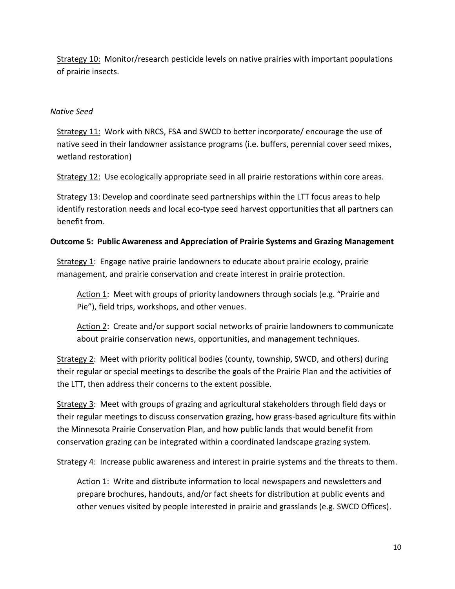Strategy 10: Monitor/research pesticide levels on native prairies with important populations of prairie insects.

### *Native Seed*

Strategy 11: Work with NRCS, FSA and SWCD to better incorporate/ encourage the use of native seed in their landowner assistance programs (i.e. buffers, perennial cover seed mixes, wetland restoration)

Strategy 12: Use ecologically appropriate seed in all prairie restorations within core areas.

Strategy 13: Develop and coordinate seed partnerships within the LTT focus areas to help identify restoration needs and local eco-type seed harvest opportunities that all partners can benefit from.

#### **Outcome 5: Public Awareness and Appreciation of Prairie Systems and Grazing Management**

Strategy 1: Engage native prairie landowners to educate about prairie ecology, prairie management, and prairie conservation and create interest in prairie protection.

Action 1: Meet with groups of priority landowners through socials (e.g. "Prairie and Pie"), field trips, workshops, and other venues.

Action 2: Create and/or support social networks of prairie landowners to communicate about prairie conservation news, opportunities, and management techniques.

Strategy 2: Meet with priority political bodies (county, township, SWCD, and others) during their regular or special meetings to describe the goals of the Prairie Plan and the activities of the LTT, then address their concerns to the extent possible.

Strategy 3: Meet with groups of grazing and agricultural stakeholders through field days or their regular meetings to discuss conservation grazing, how grass-based agriculture fits within the Minnesota Prairie Conservation Plan, and how public lands that would benefit from conservation grazing can be integrated within a coordinated landscape grazing system.

Strategy 4: Increase public awareness and interest in prairie systems and the threats to them.

Action 1: Write and distribute information to local newspapers and newsletters and prepare brochures, handouts, and/or fact sheets for distribution at public events and other venues visited by people interested in prairie and grasslands (e.g. SWCD Offices).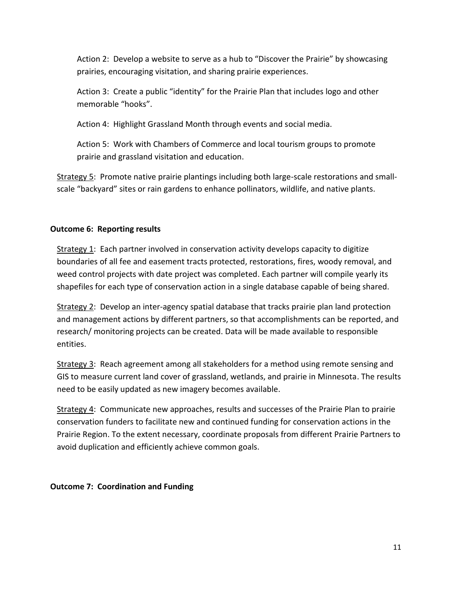Action 2: Develop a website to serve as a hub to "Discover the Prairie" by showcasing prairies, encouraging visitation, and sharing prairie experiences.

Action 3: Create a public "identity" for the Prairie Plan that includes logo and other memorable "hooks".

Action 4: Highlight Grassland Month through events and social media.

Action 5: Work with Chambers of Commerce and local tourism groups to promote prairie and grassland visitation and education.

Strategy 5: Promote native prairie plantings including both large-scale restorations and smallscale "backyard" sites or rain gardens to enhance pollinators, wildlife, and native plants.

# **Outcome 6: Reporting results**

Strategy 1: Each partner involved in conservation activity develops capacity to digitize boundaries of all fee and easement tracts protected, restorations, fires, woody removal, and weed control projects with date project was completed. Each partner will compile yearly its shapefiles for each type of conservation action in a single database capable of being shared.

Strategy 2: Develop an inter-agency spatial database that tracks prairie plan land protection and management actions by different partners, so that accomplishments can be reported, and research/ monitoring projects can be created. Data will be made available to responsible entities.

Strategy 3: Reach agreement among all stakeholders for a method using remote sensing and GIS to measure current land cover of grassland, wetlands, and prairie in Minnesota. The results need to be easily updated as new imagery becomes available.

Strategy 4: Communicate new approaches, results and successes of the Prairie Plan to prairie conservation funders to facilitate new and continued funding for conservation actions in the Prairie Region. To the extent necessary, coordinate proposals from different Prairie Partners to avoid duplication and efficiently achieve common goals.

# **Outcome 7: Coordination and Funding**